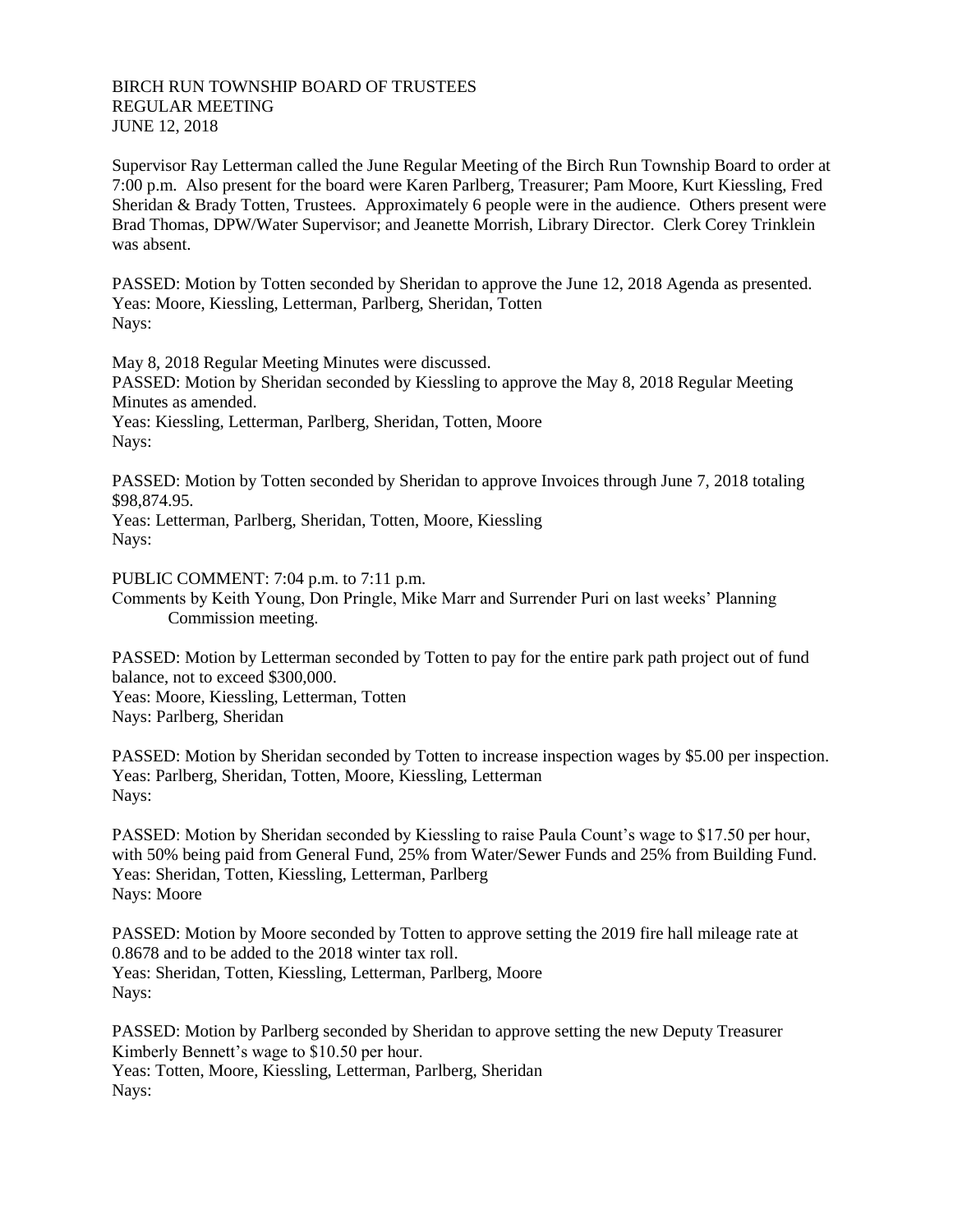## BIRCH RUN TOWNSHIP BOARD OF TRUSTEES REGULAR MEETING JUNE 12, 2018

Supervisor Ray Letterman called the June Regular Meeting of the Birch Run Township Board to order at 7:00 p.m. Also present for the board were Karen Parlberg, Treasurer; Pam Moore, Kurt Kiessling, Fred Sheridan & Brady Totten, Trustees. Approximately 6 people were in the audience. Others present were Brad Thomas, DPW/Water Supervisor; and Jeanette Morrish, Library Director. Clerk Corey Trinklein was absent.

PASSED: Motion by Totten seconded by Sheridan to approve the June 12, 2018 Agenda as presented. Yeas: Moore, Kiessling, Letterman, Parlberg, Sheridan, Totten Nays:

May 8, 2018 Regular Meeting Minutes were discussed. PASSED: Motion by Sheridan seconded by Kiessling to approve the May 8, 2018 Regular Meeting Minutes as amended. Yeas: Kiessling, Letterman, Parlberg, Sheridan, Totten, Moore Nays:

PASSED: Motion by Totten seconded by Sheridan to approve Invoices through June 7, 2018 totaling \$98,874.95.

Yeas: Letterman, Parlberg, Sheridan, Totten, Moore, Kiessling Nays:

PUBLIC COMMENT: 7:04 p.m. to 7:11 p.m. Comments by Keith Young, Don Pringle, Mike Marr and Surrender Puri on last weeks' Planning Commission meeting.

PASSED: Motion by Letterman seconded by Totten to pay for the entire park path project out of fund balance, not to exceed \$300,000.

Yeas: Moore, Kiessling, Letterman, Totten Nays: Parlberg, Sheridan

PASSED: Motion by Sheridan seconded by Totten to increase inspection wages by \$5.00 per inspection. Yeas: Parlberg, Sheridan, Totten, Moore, Kiessling, Letterman Nays:

PASSED: Motion by Sheridan seconded by Kiessling to raise Paula Count's wage to \$17.50 per hour, with 50% being paid from General Fund, 25% from Water/Sewer Funds and 25% from Building Fund. Yeas: Sheridan, Totten, Kiessling, Letterman, Parlberg Nays: Moore

PASSED: Motion by Moore seconded by Totten to approve setting the 2019 fire hall mileage rate at 0.8678 and to be added to the 2018 winter tax roll. Yeas: Sheridan, Totten, Kiessling, Letterman, Parlberg, Moore Nays:

PASSED: Motion by Parlberg seconded by Sheridan to approve setting the new Deputy Treasurer Kimberly Bennett's wage to \$10.50 per hour. Yeas: Totten, Moore, Kiessling, Letterman, Parlberg, Sheridan Nays: